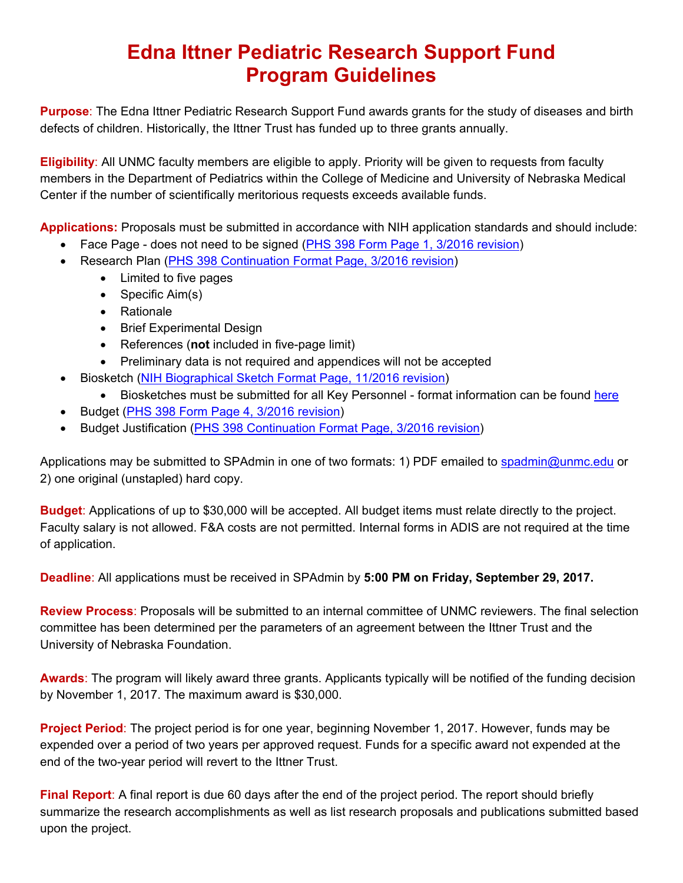## **Edna Ittner Pediatric Research Support Fund Program Guidelines**

**Purpose**: The Edna Ittner Pediatric Research Support Fund awards grants for the study of diseases and birth defects of children. Historically, the Ittner Trust has funded up to three grants annually.

**Eligibility**: All UNMC faculty members are eligible to apply. Priority will be given to requests from faculty members in the Department of Pediatrics within the College of Medicine and University of Nebraska Medical Center if the number of scientifically meritorious requests exceeds available funds.

**Applications:** Proposals must be submitted in accordance with NIH application standards and should include:

- Face Page does not need to be signed [\(PHS 398 Form Page 1, 3/2016 revision\)](https://grants.nih.gov/grants/funding/phs398/fp1.pdf)
- Research Plan ([PHS 398 Continuation Format Page, 3/2016 revision\)](https://grants.nih.gov/grants/funding/phs398/continuation.pdf) 
	- Limited to five pages
	- $\bullet$  Specific Aim(s)
	- Rationale
	- Brief Experimental Design
	- References (**not** included in five-page limit)
	- Preliminary data is not required and appendices will not be accepted
- Biosketch [\(NIH Biographical Sketch Format Page, 11/2016 revision\)](https://grants.nih.gov/grants/forms/biosketch.htm) 
	- Biosketches must be submitted for all Key Personnel format information can be found [here](https://grants.nih.gov/grants/policy/faq_biosketches.htm)
- Budget ([PHS 398 Form Page 4, 3/2016 revision\)](https://grants.nih.gov/grants/funding/phs398/fp4.pdf)
- Budget Justification [\(PHS 398 Continuation Format Page, 3/2016 revision\)](https://grants.nih.gov/grants/funding/phs398/continuation.pdf)

Applications may be submitted to SPAdmin in one of two formats: 1) PDF emailed to spadmin@unmc.edu or 2) one original (unstapled) hard copy.

**Budget**: Applications of up to \$30,000 will be accepted. All budget items must relate directly to the project. Faculty salary is not allowed. F&A costs are not permitted. Internal forms in ADIS are not required at the time of application.

**Deadline**: All applications must be received in SPAdmin by **5:00 PM on Friday, September 29, 2017.**

**Review Process**: Proposals will be submitted to an internal committee of UNMC reviewers. The final selection committee has been determined per the parameters of an agreement between the Ittner Trust and the University of Nebraska Foundation.

**Awards**: The program will likely award three grants. Applicants typically will be notified of the funding decision by November 1, 2017. The maximum award is \$30,000.

**Project Period**: The project period is for one year, beginning November 1, 2017. However, funds may be expended over a period of two years per approved request. Funds for a specific award not expended at the end of the two-year period will revert to the Ittner Trust.

**Final Report**: A final report is due 60 days after the end of the project period. The report should briefly summarize the research accomplishments as well as list research proposals and publications submitted based upon the project.